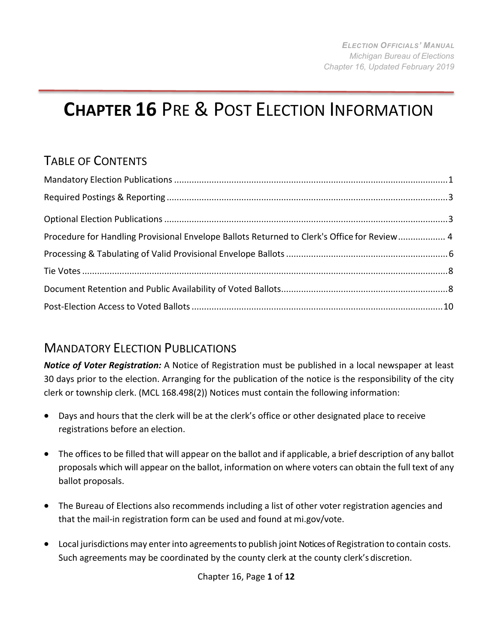# **CHAPTER 16** PRE & POST ELECTION INFORMATION

## TABLE OF CONTENTS

| Procedure for Handling Provisional Envelope Ballots Returned to Clerk's Office for Review 4 |  |
|---------------------------------------------------------------------------------------------|--|
|                                                                                             |  |
|                                                                                             |  |
|                                                                                             |  |
|                                                                                             |  |

## <span id="page-0-0"></span>MANDATORY ELECTION PUBLICATIONS

*Notice of Voter Registration:* A Notice of Registration must be published in a local newspaper at least 30 days prior to the election. Arranging for the publication of the notice is the responsibility of the city clerk or township clerk. (MCL 168.498(2)) Notices must contain the following information:

- Days and hours that the clerk will be at the clerk's office or other designated place to receive registrations before an election.
- The offices to be filled that will appear on the ballot and if applicable, a brief description of any ballot proposals which will appear on the ballot, information on where voters can obtain the full text of any ballot proposals.
- The Bureau of Elections also recommends including a list of other voter registration agencies and that the mail-in registration form can be used and found at mi.gov/vote.
- Local jurisdictions may enter into agreements to publish joint Notices of Registration to contain costs. Such agreements may be coordinated by the county clerk at the county clerk's discretion.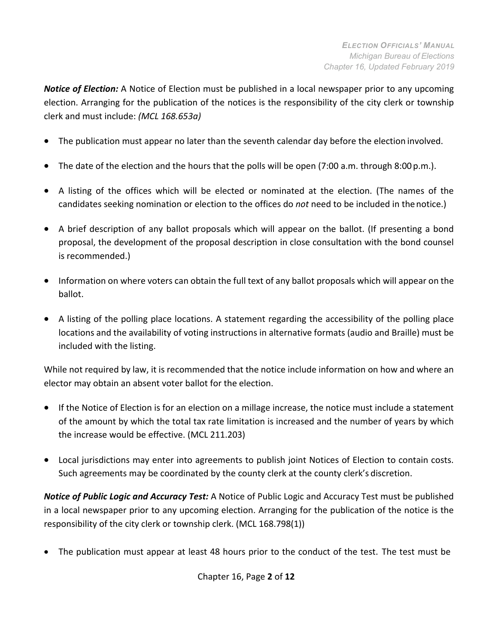*Notice of Election:* A Notice of Election must be published in a local newspaper prior to any upcoming election. Arranging for the publication of the notices is the responsibility of the city clerk or township clerk and must include: *(MCL 168.653a)*

- The publication must appear no later than the seventh calendar day before the election involved.
- The date of the election and the hours that the polls will be open (7:00 a.m. through 8:00 p.m.).
- A listing of the offices which will be elected or nominated at the election. (The names of the candidates seeking nomination or election to the offices do *not* need to be included in thenotice.)
- A brief description of any ballot proposals which will appear on the ballot. (If presenting a bond proposal, the development of the proposal description in close consultation with the bond counsel is recommended.)
- Information on where voters can obtain the full text of any ballot proposals which will appear on the ballot.
- A listing of the polling place locations. A statement regarding the accessibility of the polling place locations and the availability of voting instructions in alternative formats (audio and Braille) must be included with the listing.

While not required by law, it is recommended that the notice include information on how and where an elector may obtain an absent voter ballot for the election.

- If the Notice of Election is for an election on a millage increase, the notice must include a statement of the amount by which the total tax rate limitation is increased and the number of years by which the increase would be effective. (MCL 211.203)
- Local jurisdictions may enter into agreements to publish joint Notices of Election to contain costs. Such agreements may be coordinated by the county clerk at the county clerk's discretion.

*Notice of Public Logic and Accuracy Test:* A Notice of Public Logic and Accuracy Test must be published in a local newspaper prior to any upcoming election. Arranging for the publication of the notice is the responsibility of the city clerk or township clerk. (MCL 168.798(1))

• The publication must appear at least 48 hours prior to the conduct of the test. The test must be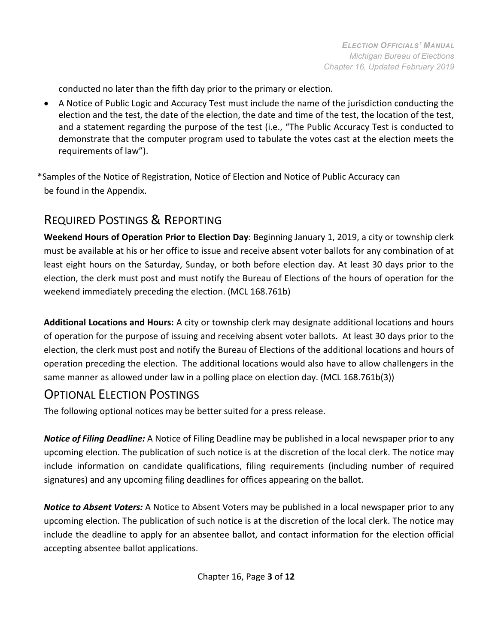conducted no later than the fifth day prior to the primary or election.

• A Notice of Public Logic and Accuracy Test must include the name of the jurisdiction conducting the election and the test, the date of the election, the date and time of the test, the location of the test, and a statement regarding the purpose of the test (i.e., "The Public Accuracy Test is conducted to demonstrate that the computer program used to tabulate the votes cast at the election meets the requirements of law").

\*Samples of the Notice of Registration, Notice of Election and Notice of Public Accuracy can be found in the Appendix.

## <span id="page-2-0"></span>REQUIRED POSTINGS & REPORTING

**Weekend Hours of Operation Prior to Election Day**: Beginning January 1, 2019, a city or township clerk must be available at his or her office to issue and receive absent voter ballots for any combination of at least eight hours on the Saturday, Sunday, or both before election day. At least 30 days prior to the election, the clerk must post and must notify the Bureau of Elections of the hours of operation for the weekend immediately preceding the election. (MCL 168.761b)

**Additional Locations and Hours:** A city or township clerk may designate additional locations and hours of operation for the purpose of issuing and receiving absent voter ballots. At least 30 days prior to the election, the clerk must post and notify the Bureau of Elections of the additional locations and hours of operation preceding the election. The additional locations would also have to allow challengers in the same manner as allowed under law in a polling place on election day. (MCL 168.761b(3))

#### OPTIONAL ELECTION POSTINGS

The following optional notices may be better suited for a press release.

*Notice of Filing Deadline:* A Notice of Filing Deadline may be published in a local newspaper prior to any upcoming election. The publication of such notice is at the discretion of the local clerk. The notice may include information on candidate qualifications, filing requirements (including number of required signatures) and any upcoming filing deadlines for offices appearing on the ballot.

*Notice to Absent Voters:* A Notice to Absent Voters may be published in a local newspaper prior to any upcoming election. The publication of such notice is at the discretion of the local clerk. The notice may include the deadline to apply for an absentee ballot, and contact information for the election official accepting absentee ballot applications.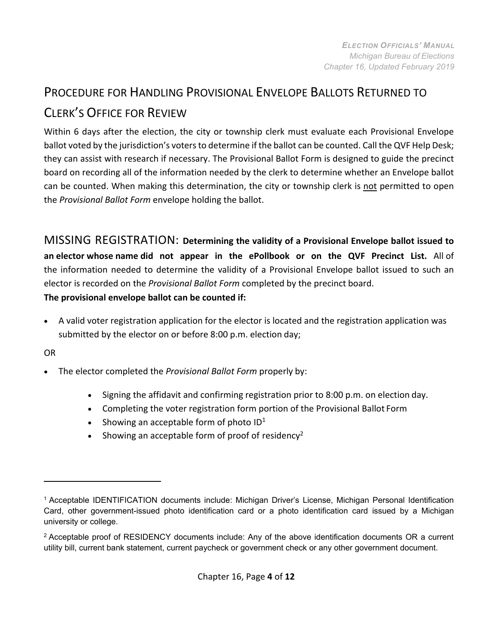## PROCEDURE FOR HANDLING PROVISIONAL ENVELOPE BALLOTS RETURNED TO CLERK'S OFFICE FOR REVIEW

Within 6 days after the election, the city or township clerk must evaluate each Provisional Envelope ballot voted by the jurisdiction's votersto determine if the ballot can be counted. Call the QVF Help Desk; they can assist with research if necessary. The Provisional Ballot Form is designed to guide the precinct board on recording all of the information needed by the clerk to determine whether an Envelope ballot can be counted. When making this determination, the city or township clerk is not permitted to open the *Provisional Ballot Form* envelope holding the ballot.

MISSING REGISTRATION: **Determining the validity of a Provisional Envelope ballot issued to an elector whose name did not appear in the ePollbook or on the QVF Precinct List.** All of the information needed to determine the validity of a Provisional Envelope ballot issued to such an elector is recorded on the *Provisional Ballot Form* completed by the precinct board.

**The provisional envelope ballot can be counted if:**

• A valid voter registration application for the elector is located and the registration application was submitted by the elector on or before 8:00 p.m. election day;

OR

- The elector completed the *Provisional Ballot Form* properly by:
	- Signing the affidavit and confirming registration prior to 8:00 p.m. on election day.
	- Completing the voter registration form portion of the Provisional Ballot Form
	- Showing an acceptable form of photo  $ID<sup>1</sup>$
	- Showing an acceptable form of proof of residency<sup>2</sup>

<span id="page-3-0"></span><sup>1</sup> Acceptable IDENTIFICATION documents include: Michigan Driver's License, Michigan Personal Identification Card, other government-issued photo identification card or a photo identification card issued by a Michigan university or college.

<span id="page-3-1"></span><sup>2</sup> Acceptable proof of RESIDENCY documents include: Any of the above identification documents OR a current utility bill, current bank statement, current paycheck or government check or any other government document.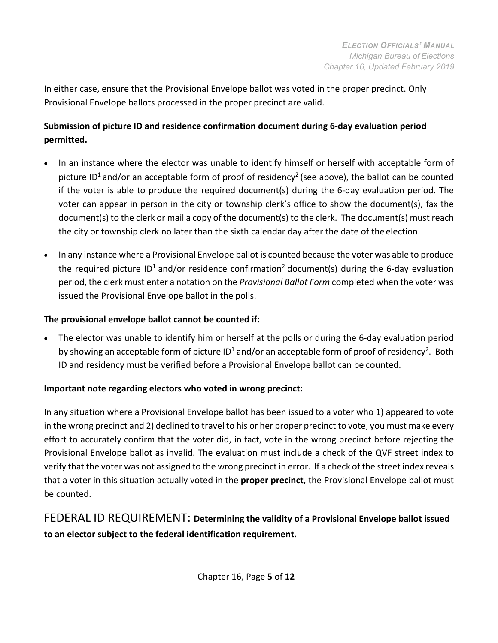In either case, ensure that the Provisional Envelope ballot was voted in the proper precinct. Only Provisional Envelope ballots processed in the proper precinct are valid.

#### **Submission of picture ID and residence confirmation document during 6-day evaluation period permitted.**

- In an instance where the elector was unable to identify himself or herself with acceptable form of picture ID<sup>1</sup> and/or an acceptable form of proof of residency<sup>2</sup> (see above), the ballot can be counted if the voter is able to produce the required document(s) during the 6-day evaluation period. The voter can appear in person in the city or township clerk's office to show the document(s), fax the document(s) to the clerk or mail a copy of the document(s) to the clerk. The document(s) must reach the city or township clerk no later than the sixth calendar day after the date of the election.
- In any instance where a Provisional Envelope ballot is counted because the voter was able to produce the required picture  $ID^1$  and/or residence confirmation<sup>2</sup> document(s) during the 6-day evaluation period, the clerk must enter a notation on the *Provisional Ballot Form* completed when the voter was issued the Provisional Envelope ballot in the polls.

#### **The provisional envelope ballot cannot be counted if:**

• The elector was unable to identify him or herself at the polls or during the 6-day evaluation period by showing an acceptable form of picture  $ID^1$  and/or an acceptable form of proof of residency<sup>2</sup>. Both ID and residency must be verified before a Provisional Envelope ballot can be counted.

#### **Important note regarding electors who voted in wrong precinct:**

In any situation where a Provisional Envelope ballot has been issued to a voter who 1) appeared to vote in the wrong precinct and 2) declined to travel to his or her proper precinct to vote, you must make every effort to accurately confirm that the voter did, in fact, vote in the wrong precinct before rejecting the Provisional Envelope ballot as invalid. The evaluation must include a check of the QVF street index to verify that the voter was not assigned to the wrong precinct in error. If a check of the street index reveals that a voter in this situation actually voted in the **proper precinct**, the Provisional Envelope ballot must be counted.

#### FEDERAL ID REQUIREMENT: **Determining the validity of a Provisional Envelope ballot issued to an elector subject to the federal identification requirement.**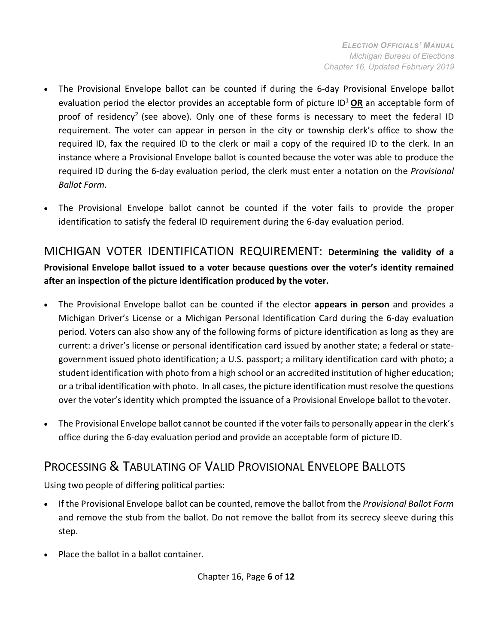- The Provisional Envelope ballot can be counted if during the 6-day Provisional Envelope ballot evaluation period the elector provides an acceptable form of picture ID<sup>1</sup> OR an acceptable form of proof of residency<sup>2</sup> (see above). Only one of these forms is necessary to meet the federal ID requirement. The voter can appear in person in the city or township clerk's office to show the required ID, fax the required ID to the clerk or mail a copy of the required ID to the clerk. In an instance where a Provisional Envelope ballot is counted because the voter was able to produce the required ID during the 6-day evaluation period, the clerk must enter a notation on the *Provisional Ballot Form*.
- The Provisional Envelope ballot cannot be counted if the voter fails to provide the proper identification to satisfy the federal ID requirement during the 6-day evaluation period.

MICHIGAN VOTER IDENTIFICATION REQUIREMENT: **Determining the validity of a Provisional Envelope ballot issued to a voter because questions over the voter's identity remained after an inspection of the picture identification produced by the voter.**

- The Provisional Envelope ballot can be counted if the elector **appears in person** and provides a Michigan Driver's License or a Michigan Personal Identification Card during the 6-day evaluation period. Voters can also show any of the following forms of picture identification as long as they are current: a driver's license or personal identification card issued by another state; a federal or stategovernment issued photo identification; a U.S. passport; a military identification card with photo; a student identification with photo from a high school or an accredited institution of higher education; or a tribal identification with photo. In all cases, the picture identification must resolve the questions over the voter's identity which prompted the issuance of a Provisional Envelope ballot to thevoter.
- The Provisional Envelope ballot cannot be counted if the voter failsto personally appear in the clerk's office during the 6-day evaluation period and provide an acceptable form of picture ID.

## PROCESSING & TABULATING OF VALID PROVISIONAL ENVELOPE BALLOTS

Using two people of differing political parties:

- If the Provisional Envelope ballot can be counted, remove the ballot from the *Provisional Ballot Form*  and remove the stub from the ballot. Do not remove the ballot from its secrecy sleeve during this step.
- Place the ballot in a ballot container.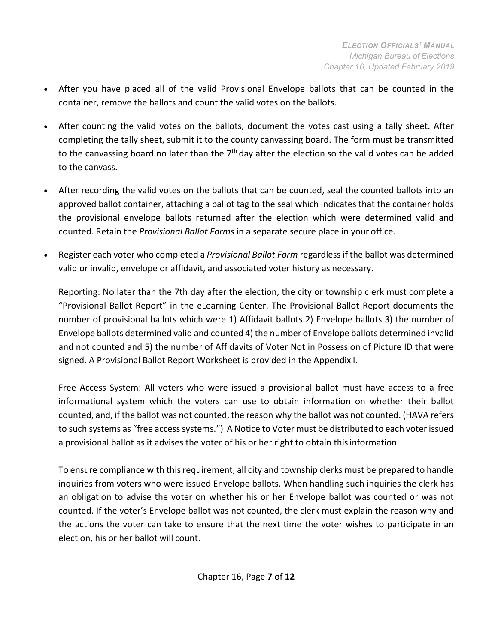- After you have placed all of the valid Provisional Envelope ballots that can be counted in the container, remove the ballots and count the valid votes on the ballots.
- After counting the valid votes on the ballots, document the votes cast using a tally sheet. After completing the tally sheet, submit it to the county canvassing board. The form must be transmitted to the canvassing board no later than the  $7<sup>th</sup>$  day after the election so the valid votes can be added to the canvass.
- After recording the valid votes on the ballots that can be counted, seal the counted ballots into an approved ballot container, attaching a ballot tag to the seal which indicates that the container holds the provisional envelope ballots returned after the election which were determined valid and counted. Retain the *Provisional Ballot Forms* in a separate secure place in your office.
- Register each voter who completed a *Provisional Ballot Form* regardless if the ballot was determined valid or invalid, envelope or affidavit, and associated voter history as necessary.

Reporting: No later than the 7th day after the election, the city or township clerk must complete a "Provisional Ballot Report" in the eLearning Center. The Provisional Ballot Report documents the number of provisional ballots which were 1) Affidavit ballots 2) Envelope ballots 3) the number of Envelope ballots determined valid and counted 4) the number of Envelope ballots determined invalid and not counted and 5) the number of Affidavits of Voter Not in Possession of Picture ID that were signed. A Provisional Ballot Report Worksheet is provided in the Appendix I.

Free Access System: All voters who were issued a provisional ballot must have access to a free informational system which the voters can use to obtain information on whether their ballot counted, and, if the ballot was not counted, the reason why the ballot was not counted. (HAVA refers to such systems as "free access systems.") A Notice to Voter must be distributed to each voter issued a provisional ballot as it advises the voter of his or her right to obtain thisinformation.

To ensure compliance with this requirement, all city and township clerks must be prepared to handle inquiries from voters who were issued Envelope ballots. When handling such inquiries the clerk has an obligation to advise the voter on whether his or her Envelope ballot was counted or was not counted. If the voter's Envelope ballot was not counted, the clerk must explain the reason why and the actions the voter can take to ensure that the next time the voter wishes to participate in an election, his or her ballot will count.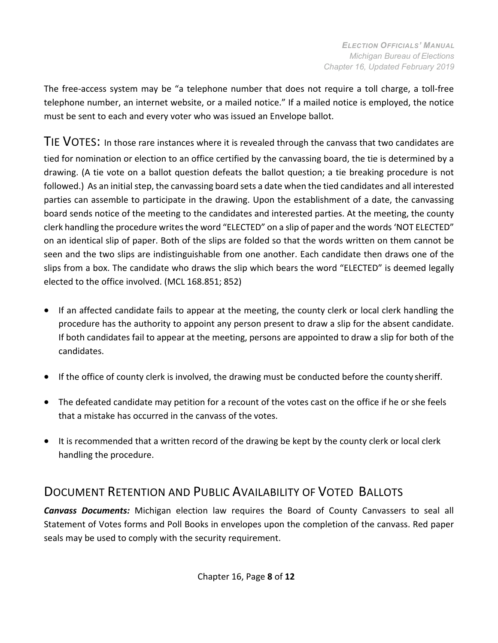The free-access system may be "a telephone number that does not require a toll charge, a toll-free telephone number, an internet website, or a mailed notice." If a mailed notice is employed, the notice must be sent to each and every voter who was issued an Envelope ballot.

<span id="page-7-0"></span>TIE VOTES: In those rare instances where it is revealed through the canvass that two candidates are tied for nomination or election to an office certified by the canvassing board, the tie is determined by a drawing. (A tie vote on a ballot question defeats the ballot question; a tie breaking procedure is not followed.) As an initial step, the canvassing board sets a date when the tied candidates and all interested parties can assemble to participate in the drawing. Upon the establishment of a date, the canvassing board sends notice of the meeting to the candidates and interested parties. At the meeting, the county clerk handling the procedure writes the word "ELECTED" on a slip of paper and the words 'NOT ELECTED" on an identical slip of paper. Both of the slips are folded so that the words written on them cannot be seen and the two slips are indistinguishable from one another. Each candidate then draws one of the slips from a box. The candidate who draws the slip which bears the word "ELECTED" is deemed legally elected to the office involved. (MCL 168.851; 852)

- If an affected candidate fails to appear at the meeting, the county clerk or local clerk handling the procedure has the authority to appoint any person present to draw a slip for the absent candidate. If both candidates fail to appear at the meeting, persons are appointed to draw a slip for both of the candidates.
- If the office of county clerk is involved, the drawing must be conducted before the county sheriff.
- The defeated candidate may petition for a recount of the votes cast on the office if he or she feels that a mistake has occurred in the canvass of the votes.
- It is recommended that a written record of the drawing be kept by the county clerk or local clerk handling the procedure.

## <span id="page-7-1"></span>DOCUMENT RETENTION AND PUBLIC AVAILABILITY OF VOTED BALLOTS

*Canvass Documents:* Michigan election law requires the Board of County Canvassers to seal all Statement of Votes forms and Poll Books in envelopes upon the completion of the canvass. Red paper seals may be used to comply with the security requirement.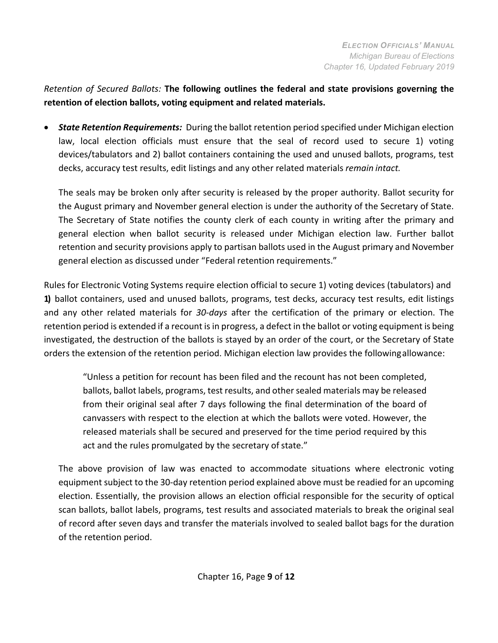*Retention of Secured Ballots:* **The following outlines the federal and state provisions governing the retention of election ballots, voting equipment and related materials.**

• *State Retention Requirements:* During the ballot retention period specified under Michigan election law, local election officials must ensure that the seal of record used to secure 1) voting devices/tabulators and 2) ballot containers containing the used and unused ballots, programs, test decks, accuracy test results, edit listings and any other related materials *remain intact.*

The seals may be broken only after security is released by the proper authority. Ballot security for the August primary and November general election is under the authority of the Secretary of State. The Secretary of State notifies the county clerk of each county in writing after the primary and general election when ballot security is released under Michigan election law. Further ballot retention and security provisions apply to partisan ballots used in the August primary and November general election as discussed under "Federal retention requirements."

Rules for Electronic Voting Systems require election official to secure 1) voting devices (tabulators) and **1)** ballot containers, used and unused ballots, programs, test decks, accuracy test results, edit listings and any other related materials for *30-days* after the certification of the primary or election. The retention period is extended if a recount is in progress, a defect in the ballot or voting equipment is being investigated, the destruction of the ballots is stayed by an order of the court, or the Secretary of State orders the extension of the retention period. Michigan election law provides the followingallowance:

"Unless a petition for recount has been filed and the recount has not been completed, ballots, ballot labels, programs, test results, and other sealed materials may be released from their original seal after 7 days following the final determination of the board of canvassers with respect to the election at which the ballots were voted. However, the released materials shall be secured and preserved for the time period required by this act and the rules promulgated by the secretary of state."

The above provision of law was enacted to accommodate situations where electronic voting equipment subject to the 30-day retention period explained above must be readied for an upcoming election. Essentially, the provision allows an election official responsible for the security of optical scan ballots, ballot labels, programs, test results and associated materials to break the original seal of record after seven days and transfer the materials involved to sealed ballot bags for the duration of the retention period.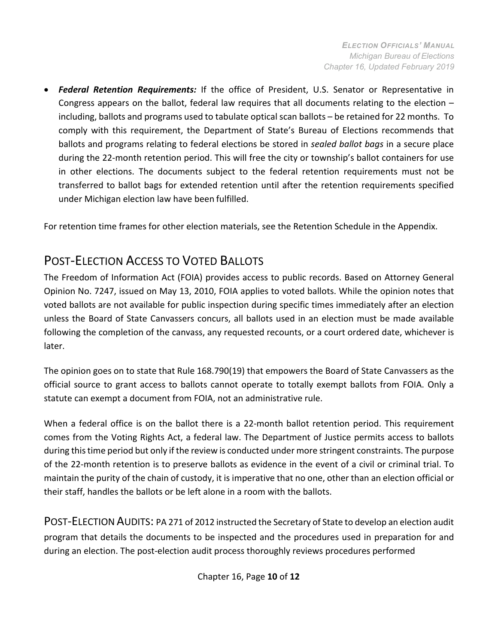• *Federal Retention Requirements:* If the office of President, U.S. Senator or Representative in Congress appears on the ballot, federal law requires that all documents relating to the election – including, ballots and programs used to tabulate optical scan ballots – be retained for 22 months. To comply with this requirement, the Department of State's Bureau of Elections recommends that ballots and programs relating to federal elections be stored in *sealed ballot bags* in a secure place during the 22-month retention period. This will free the city or township's ballot containers for use in other elections. The documents subject to the federal retention requirements must not be transferred to ballot bags for extended retention until after the retention requirements specified under Michigan election law have been fulfilled.

For retention time frames for other election materials, see the Retention Schedule in the Appendix.

## <span id="page-9-0"></span>POST-ELECTION ACCESS TO VOTED BALLOTS

The Freedom of Information Act (FOIA) provides access to public records. Based on Attorney General Opinion No. 7247, issued on May 13, 2010, FOIA applies to voted ballots. While the opinion notes that voted ballots are not available for public inspection during specific times immediately after an election unless the Board of State Canvassers concurs, all ballots used in an election must be made available following the completion of the canvass, any requested recounts, or a court ordered date, whichever is later.

The opinion goes on to state that Rule 168.790(19) that empowers the Board of State Canvassers as the official source to grant access to ballots cannot operate to totally exempt ballots from FOIA. Only a statute can exempt a document from FOIA, not an administrative rule.

When a federal office is on the ballot there is a 22-month ballot retention period. This requirement comes from the Voting Rights Act, a federal law. The Department of Justice permits access to ballots during this time period but only if the review is conducted under more stringent constraints. The purpose of the 22-month retention is to preserve ballots as evidence in the event of a civil or criminal trial. To maintain the purity of the chain of custody, it is imperative that no one, other than an election official or their staff, handles the ballots or be left alone in a room with the ballots.

POST-ELECTION AUDITS: PA 271 of 2012 instructed the Secretary of State to develop an election audit program that details the documents to be inspected and the procedures used in preparation for and during an election. The post-election audit process thoroughly reviews procedures performed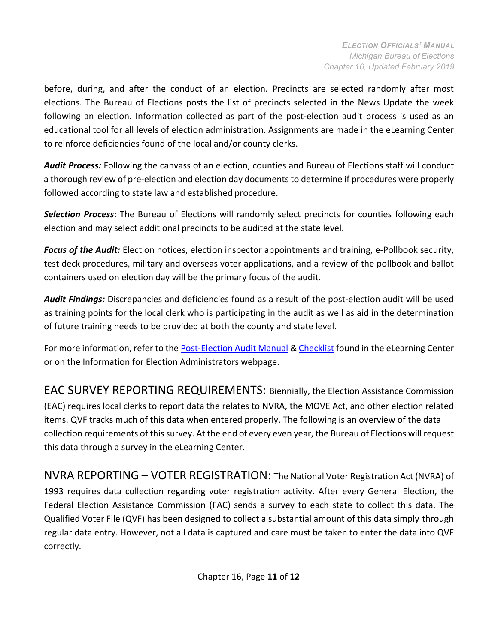before, during, and after the conduct of an election. Precincts are selected randomly after most elections. The Bureau of Elections posts the list of precincts selected in the News Update the week following an election. Information collected as part of the post-election audit process is used as an educational tool for all levels of election administration. Assignments are made in the eLearning Center to reinforce deficiencies found of the local and/or county clerks.

*Audit Process:* Following the canvass of an election, counties and Bureau of Elections staff will conduct a thorough review of pre-election and election day documents to determine if procedures were properly followed according to state law and established procedure.

*Selection Process*: The Bureau of Elections will randomly select precincts for counties following each election and may select additional precincts to be audited at the state level.

*Focus of the Audit:* Election notices, election inspector appointments and training, e-Pollbook security, test deck procedures, military and overseas voter applications, and a review of the pollbook and ballot containers used on election day will be the primary focus of the audit.

*Audit Findings:* Discrepancies and deficiencies found as a result of the post-election audit will be used as training points for the local clerk who is participating in the audit as well as aid in the determination of future training needs to be provided at both the county and state level.

For more information, refer to the [Post-Election](http://www.michigan.gov/documents/sos/Post_Election_Audit_Manual_418482_7.pdf) Audit Manual & [Checklist](http://www.michigan.gov/documents/sos/Post_Election_Audit_Checklist_418481_7.pdf) found in the eLearning Center or on the Information for Election Administrators webpage.

EAC SURVEY REPORTING REQUIREMENTS: Biennially, the Election Assistance Commission (EAC) requires local clerks to report data the relates to NVRA, the MOVE Act, and other election related items. QVF tracks much of this data when entered properly. The following is an overview of the data collection requirements of this survey. At the end of every even year, the Bureau of Elections will request this data through a survey in the eLearning Center.

NVRA REPORTING – VOTER REGISTRATION: The National Voter Registration Act (NVRA) of 1993 requires data collection regarding voter registration activity. After every General Election, the Federal Election Assistance Commission (FAC) sends a survey to each state to collect this data. The Qualified Voter File (QVF) has been designed to collect a substantial amount of this data simply through regular data entry. However, not all data is captured and care must be taken to enter the data into QVF correctly.